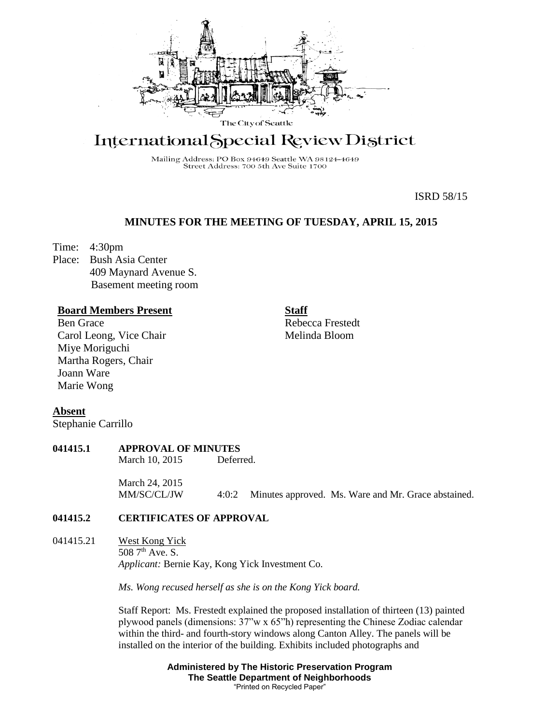

# International Special Review District

Mailing Address: PO Box 94649 Seattle WA 98124-4649 Street Address: 700 5th Ave Suite 1700

ISRD 58/15

# **MINUTES FOR THE MEETING OF TUESDAY, APRIL 15, 2015**

Time: 4:30pm

Place: Bush Asia Center 409 Maynard Avenue S. Basement meeting room

## **Board Members Present**

Ben Grace Carol Leong, Vice Chair Miye Moriguchi Martha Rogers, Chair Joann Ware Marie Wong

**Staff** Rebecca Frestedt Melinda Bloom

**Absent**

Stephanie Carrillo

# **041415.1 APPROVAL OF MINUTES**

March 10, 2015 Deferred.

March 24, 2015 MM/SC/CL/JW 4:0:2 Minutes approved. Ms. Ware and Mr. Grace abstained.

# **041415.2 CERTIFICATES OF APPROVAL**

041415.21 West Kong Yick 508 7<sup>th</sup> Ave. S. *Applicant:* Bernie Kay, Kong Yick Investment Co.

*Ms. Wong recused herself as she is on the Kong Yick board.*

Staff Report: Ms. Frestedt explained the proposed installation of thirteen (13) painted plywood panels (dimensions: 37"w x 65"h) representing the Chinese Zodiac calendar within the third- and fourth-story windows along Canton Alley. The panels will be installed on the interior of the building. Exhibits included photographs and

> **Administered by The Historic Preservation Program The Seattle Department of Neighborhoods** "Printed on Recycled Paper"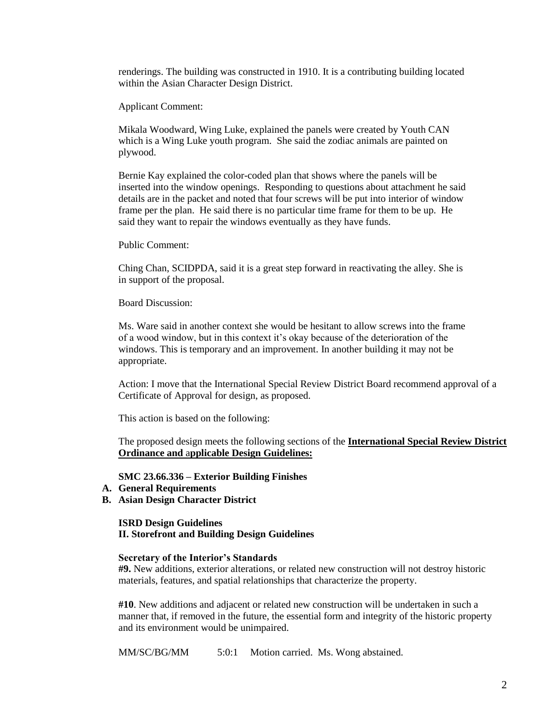renderings. The building was constructed in 1910. It is a contributing building located within the Asian Character Design District.

Applicant Comment:

Mikala Woodward, Wing Luke, explained the panels were created by Youth CAN which is a Wing Luke youth program. She said the zodiac animals are painted on plywood.

Bernie Kay explained the color-coded plan that shows where the panels will be inserted into the window openings. Responding to questions about attachment he said details are in the packet and noted that four screws will be put into interior of window frame per the plan. He said there is no particular time frame for them to be up. He said they want to repair the windows eventually as they have funds.

Public Comment:

Ching Chan, SCIDPDA, said it is a great step forward in reactivating the alley. She is in support of the proposal.

Board Discussion:

Ms. Ware said in another context she would be hesitant to allow screws into the frame of a wood window, but in this context it's okay because of the deterioration of the windows. This is temporary and an improvement. In another building it may not be appropriate.

Action: I move that the International Special Review District Board recommend approval of a Certificate of Approval for design, as proposed.

This action is based on the following:

The proposed design meets the following sections of the **International Special Review District Ordinance and** a**pplicable Design Guidelines:**

**SMC 23.66.336 – Exterior Building Finishes**

- **A. General Requirements**
- **B. Asian Design Character District**

**ISRD Design Guidelines II. Storefront and Building Design Guidelines** 

#### **Secretary of the Interior's Standards**

**#9.** New additions, exterior alterations, or related new construction will not destroy historic materials, features, and spatial relationships that characterize the property.

**#10**. New additions and adjacent or related new construction will be undertaken in such a manner that, if removed in the future, the essential form and integrity of the historic property and its environment would be unimpaired.

MM/SC/BG/MM 5:0:1 Motion carried. Ms. Wong abstained.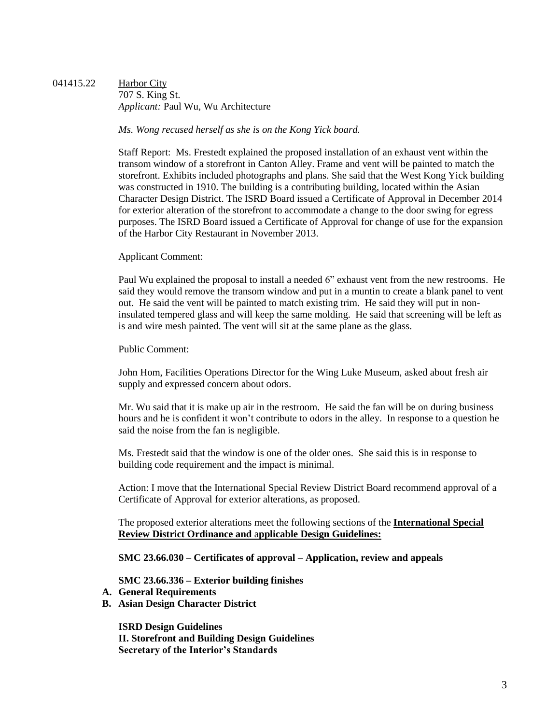041415.22 Harbor City 707 S. King St. *Applicant:* Paul Wu, Wu Architecture

*Ms. Wong recused herself as she is on the Kong Yick board.*

Staff Report: Ms. Frestedt explained the proposed installation of an exhaust vent within the transom window of a storefront in Canton Alley. Frame and vent will be painted to match the storefront. Exhibits included photographs and plans. She said that the West Kong Yick building was constructed in 1910. The building is a contributing building, located within the Asian Character Design District. The ISRD Board issued a Certificate of Approval in December 2014 for exterior alteration of the storefront to accommodate a change to the door swing for egress purposes. The ISRD Board issued a Certificate of Approval for change of use for the expansion of the Harbor City Restaurant in November 2013.

Applicant Comment:

Paul Wu explained the proposal to install a needed 6" exhaust vent from the new restrooms. He said they would remove the transom window and put in a muntin to create a blank panel to vent out. He said the vent will be painted to match existing trim. He said they will put in noninsulated tempered glass and will keep the same molding. He said that screening will be left as is and wire mesh painted. The vent will sit at the same plane as the glass.

Public Comment:

John Hom, Facilities Operations Director for the Wing Luke Museum, asked about fresh air supply and expressed concern about odors.

Mr. Wu said that it is make up air in the restroom. He said the fan will be on during business hours and he is confident it won't contribute to odors in the alley. In response to a question he said the noise from the fan is negligible.

Ms. Frestedt said that the window is one of the older ones. She said this is in response to building code requirement and the impact is minimal.

Action: I move that the International Special Review District Board recommend approval of a Certificate of Approval for exterior alterations, as proposed.

The proposed exterior alterations meet the following sections of the **International Special Review District Ordinance and** a**pplicable Design Guidelines:**

**SMC 23.66.030 – Certificates of approval – Application, review and appeals**

**SMC 23.66.336 – Exterior building finishes**

- **A. General Requirements**
- **B. Asian Design Character District**

**ISRD Design Guidelines II. Storefront and Building Design Guidelines Secretary of the Interior's Standards**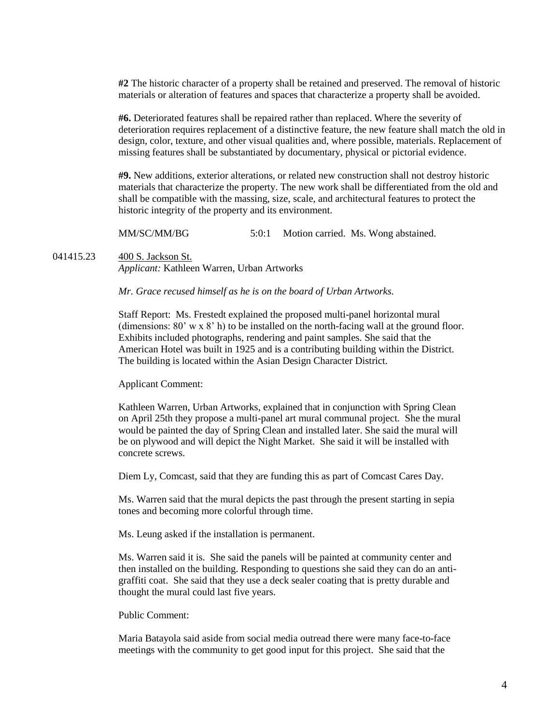**#2** The historic character of a property shall be retained and preserved. The removal of historic materials or alteration of features and spaces that characterize a property shall be avoided.

**#6.** Deteriorated features shall be repaired rather than replaced. Where the severity of deterioration requires replacement of a distinctive feature, the new feature shall match the old in design, color, texture, and other visual qualities and, where possible, materials. Replacement of missing features shall be substantiated by documentary, physical or pictorial evidence.

**#9.** New additions, exterior alterations, or related new construction shall not destroy historic materials that characterize the property. The new work shall be differentiated from the old and shall be compatible with the massing, size, scale, and architectural features to protect the historic integrity of the property and its environment.

MM/SC/MM/BG 5:0:1 Motion carried. Ms. Wong abstained.

041415.23 400 S. Jackson St. *Applicant:* Kathleen Warren, Urban Artworks

*Mr. Grace recused himself as he is on the board of Urban Artworks.*

Staff Report: Ms. Frestedt explained the proposed multi-panel horizontal mural (dimensions: 80' w x 8' h) to be installed on the north-facing wall at the ground floor. Exhibits included photographs, rendering and paint samples. She said that the American Hotel was built in 1925 and is a contributing building within the District. The building is located within the Asian Design Character District.

Applicant Comment:

Kathleen Warren, Urban Artworks, explained that in conjunction with Spring Clean on April 25th they propose a multi-panel art mural communal project. She the mural would be painted the day of Spring Clean and installed later. She said the mural will be on plywood and will depict the Night Market. She said it will be installed with concrete screws.

Diem Ly, Comcast, said that they are funding this as part of Comcast Cares Day.

Ms. Warren said that the mural depicts the past through the present starting in sepia tones and becoming more colorful through time.

Ms. Leung asked if the installation is permanent.

Ms. Warren said it is. She said the panels will be painted at community center and then installed on the building. Responding to questions she said they can do an antigraffiti coat. She said that they use a deck sealer coating that is pretty durable and thought the mural could last five years.

Public Comment:

Maria Batayola said aside from social media outread there were many face-to-face meetings with the community to get good input for this project. She said that the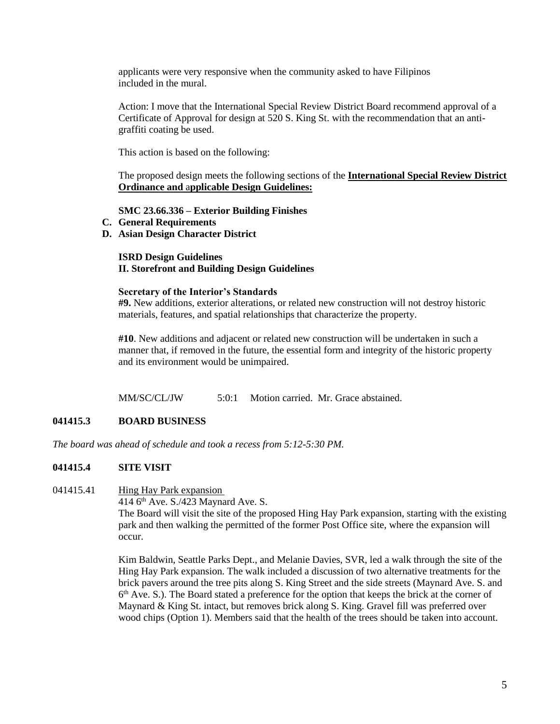applicants were very responsive when the community asked to have Filipinos included in the mural.

Action: I move that the International Special Review District Board recommend approval of a Certificate of Approval for design at 520 S. King St. with the recommendation that an antigraffiti coating be used.

This action is based on the following:

The proposed design meets the following sections of the **International Special Review District Ordinance and** a**pplicable Design Guidelines:**

### **SMC 23.66.336 – Exterior Building Finishes**

- **C. General Requirements**
- **D. Asian Design Character District**

#### **ISRD Design Guidelines II. Storefront and Building Design Guidelines**

#### **Secretary of the Interior's Standards**

**#9.** New additions, exterior alterations, or related new construction will not destroy historic materials, features, and spatial relationships that characterize the property.

**#10**. New additions and adjacent or related new construction will be undertaken in such a manner that, if removed in the future, the essential form and integrity of the historic property and its environment would be unimpaired.

MM/SC/CL/JW 5:0:1 Motion carried. Mr. Grace abstained.

### **041415.3 BOARD BUSINESS**

*The board was ahead of schedule and took a recess from 5:12-5:30 PM.* 

### **041415.4 SITE VISIT**

#### 041415.41 Hing Hay Park expansion

414 6<sup>th</sup> Ave. S./423 Maynard Ave. S. The Board will visit the site of the proposed Hing Hay Park expansion, starting with the existing park and then walking the permitted of the former Post Office site, where the expansion will occur.

Kim Baldwin, Seattle Parks Dept., and Melanie Davies, SVR, led a walk through the site of the Hing Hay Park expansion. The walk included a discussion of two alternative treatments for the brick pavers around the tree pits along S. King Street and the side streets (Maynard Ave. S. and 6<sup>th</sup> Ave. S.). The Board stated a preference for the option that keeps the brick at the corner of Maynard & King St. intact, but removes brick along S. King. Gravel fill was preferred over wood chips (Option 1). Members said that the health of the trees should be taken into account.